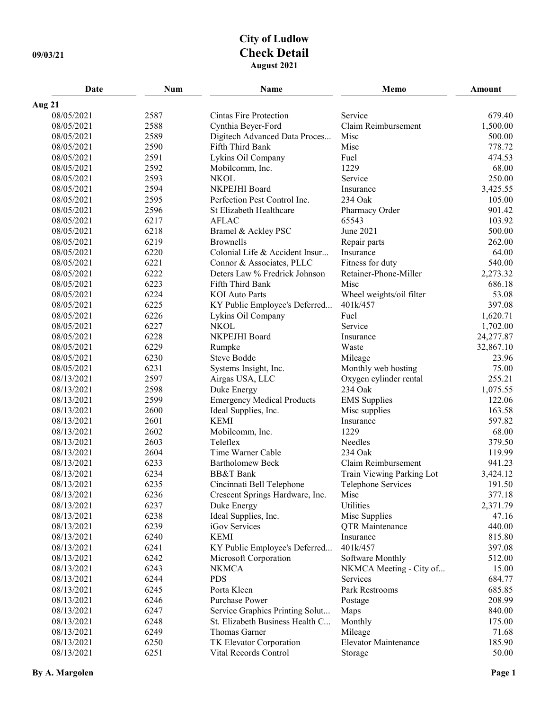## **City of Ludlow 09/03/21 Check Detail August 2021**

| Date                     | <b>Num</b>   | Name                                  | Memo                                    | Amount          |
|--------------------------|--------------|---------------------------------------|-----------------------------------------|-----------------|
| Aug 21                   |              |                                       |                                         |                 |
| 08/05/2021               | 2587         | Cintas Fire Protection                | Service                                 | 679.40          |
| 08/05/2021               | 2588         | Cynthia Beyer-Ford                    | Claim Reimbursement                     | 1,500.00        |
| 08/05/2021               | 2589         | Digitech Advanced Data Proces         | Misc                                    | 500.00          |
| 08/05/2021               | 2590         | Fifth Third Bank                      | Misc                                    | 778.72          |
| 08/05/2021               | 2591         | Lykins Oil Company                    | Fuel                                    | 474.53          |
| 08/05/2021               | 2592         | Mobilcomm, Inc.                       | 1229                                    | 68.00           |
| 08/05/2021               | 2593         | <b>NKOL</b>                           | Service                                 | 250.00          |
| 08/05/2021               | 2594         | NKPEJHI Board                         | Insurance                               | 3,425.55        |
| 08/05/2021               | 2595         | Perfection Pest Control Inc.          | 234 Oak                                 | 105.00          |
| 08/05/2021               | 2596         | St Elizabeth Healthcare               | Pharmacy Order                          | 901.42          |
| 08/05/2021               | 6217         | <b>AFLAC</b>                          | 65543                                   | 103.92          |
| 08/05/2021               | 6218         | Bramel & Ackley PSC                   | June 2021                               | 500.00          |
| 08/05/2021               | 6219         | <b>Brownells</b>                      | Repair parts                            | 262.00          |
| 08/05/2021               | 6220         | Colonial Life & Accident Insur        | Insurance                               | 64.00           |
| 08/05/2021               | 6221         | Connor & Associates, PLLC             | Fitness for duty                        | 540.00          |
| 08/05/2021               | 6222         | Deters Law % Fredrick Johnson         | Retainer-Phone-Miller                   | 2,273.32        |
| 08/05/2021               | 6223         | Fifth Third Bank                      | Misc                                    | 686.18          |
| 08/05/2021               | 6224         | <b>KOI</b> Auto Parts                 | Wheel weights/oil filter                | 53.08           |
| 08/05/2021               | 6225         | KY Public Employee's Deferred         | 401k/457                                | 397.08          |
| 08/05/2021               | 6226         | Lykins Oil Company                    | Fuel                                    | 1,620.71        |
| 08/05/2021               | 6227         | <b>NKOL</b>                           | Service                                 | 1,702.00        |
| 08/05/2021               | 6228         | NKPEJHI Board                         | Insurance                               | 24,277.87       |
| 08/05/2021               | 6229         | Rumpke                                | Waste                                   | 32,867.10       |
| 08/05/2021               | 6230         | Steve Bodde                           | Mileage                                 | 23.96           |
| 08/05/2021               | 6231         | Systems Insight, Inc.                 | Monthly web hosting                     | 75.00           |
| 08/13/2021               | 2597         | Airgas USA, LLC                       | Oxygen cylinder rental                  | 255.21          |
| 08/13/2021               | 2598         | Duke Energy                           | 234 Oak                                 | 1,075.55        |
| 08/13/2021               | 2599         | <b>Emergency Medical Products</b>     | <b>EMS</b> Supplies                     | 122.06          |
| 08/13/2021               | 2600         | Ideal Supplies, Inc.                  | Misc supplies                           | 163.58          |
| 08/13/2021               | 2601         | <b>KEMI</b>                           | Insurance                               | 597.82          |
| 08/13/2021               | 2602         | Mobilcomm, Inc.                       | 1229                                    | 68.00           |
| 08/13/2021               | 2603         | Teleflex                              | Needles                                 | 379.50          |
| 08/13/2021               | 2604         | Time Warner Cable                     | 234 Oak                                 | 119.99          |
| 08/13/2021               | 6233         | <b>Bartholomew Beck</b>               | Claim Reimbursement                     | 941.23          |
| 08/13/2021               | 6234         | <b>BB&amp;T</b> Bank                  | Train Viewing Parking Lot               | 3,424.12        |
| 08/13/2021               | 6235         | Cincinnati Bell Telephone             | Telephone Services                      | 191.50          |
| 08/13/2021               | 6236         | Crescent Springs Hardware, Inc.       | Misc<br>Utilities                       | 377.18          |
| 08/13/2021               | 6237         | Duke Energy                           |                                         | 2,371.79        |
| 08/13/2021<br>08/13/2021 | 6238<br>6239 | Ideal Supplies, Inc.<br>iGov Services | Misc Supplies<br><b>QTR</b> Maintenance | 47.16<br>440.00 |
| 08/13/2021               | 6240         | <b>KEMI</b>                           | Insurance                               | 815.80          |
| 08/13/2021               | 6241         | KY Public Employee's Deferred         | 401k/457                                | 397.08          |
| 08/13/2021               | 6242         | Microsoft Corporation                 | Software Monthly                        | 512.00          |
| 08/13/2021               | 6243         | <b>NKMCA</b>                          | NKMCA Meeting - City of                 | 15.00           |
| 08/13/2021               | 6244         | <b>PDS</b>                            | Services                                | 684.77          |
| 08/13/2021               | 6245         | Porta Kleen                           | Park Restrooms                          | 685.85          |
| 08/13/2021               | 6246         | Purchase Power                        | Postage                                 | 208.99          |
| 08/13/2021               | 6247         | Service Graphics Printing Solut       | Maps                                    | 840.00          |
| 08/13/2021               | 6248         | St. Elizabeth Business Health C       | Monthly                                 | 175.00          |
| 08/13/2021               | 6249         | Thomas Garner                         | Mileage                                 | 71.68           |
| 08/13/2021               | 6250         | TK Elevator Corporation               | Elevator Maintenance                    | 185.90          |
| 08/13/2021               | 6251         | Vital Records Control                 | Storage                                 | 50.00           |
|                          |              |                                       |                                         |                 |